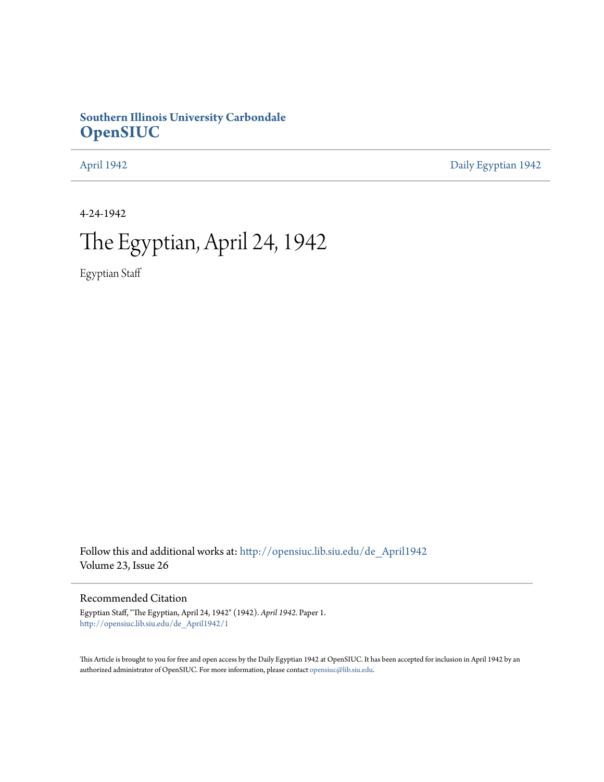# **Southern Illinois University Carbondale [OpenSIUC](http://opensiuc.lib.siu.edu?utm_source=opensiuc.lib.siu.edu%2Fde_April1942%2F1&utm_medium=PDF&utm_campaign=PDFCoverPages)**

[April 1942](http://opensiuc.lib.siu.edu/de_April1942?utm_source=opensiuc.lib.siu.edu%2Fde_April1942%2F1&utm_medium=PDF&utm_campaign=PDFCoverPages) [Daily Egyptian 1942](http://opensiuc.lib.siu.edu/de_1942?utm_source=opensiuc.lib.siu.edu%2Fde_April1942%2F1&utm_medium=PDF&utm_campaign=PDFCoverPages)

4-24-1942

# The Egyptian, April 24, 1942

Egyptian Staff

Follow this and additional works at: [http://opensiuc.lib.siu.edu/de\\_April1942](http://opensiuc.lib.siu.edu/de_April1942?utm_source=opensiuc.lib.siu.edu%2Fde_April1942%2F1&utm_medium=PDF&utm_campaign=PDFCoverPages) Volume 23, Issue 26

Recommended Citation

Egyptian Staff, "The Egyptian, April 24, 1942" (1942). *April 1942.* Paper 1. [http://opensiuc.lib.siu.edu/de\\_April1942/1](http://opensiuc.lib.siu.edu/de_April1942/1?utm_source=opensiuc.lib.siu.edu%2Fde_April1942%2F1&utm_medium=PDF&utm_campaign=PDFCoverPages)

This Article is brought to you for free and open access by the Daily Egyptian 1942 at OpenSIUC. It has been accepted for inclusion in April 1942 by an authorized administrator of OpenSIUC. For more information, please contact [opensiuc@lib.siu.edu](mailto:opensiuc@lib.siu.edu).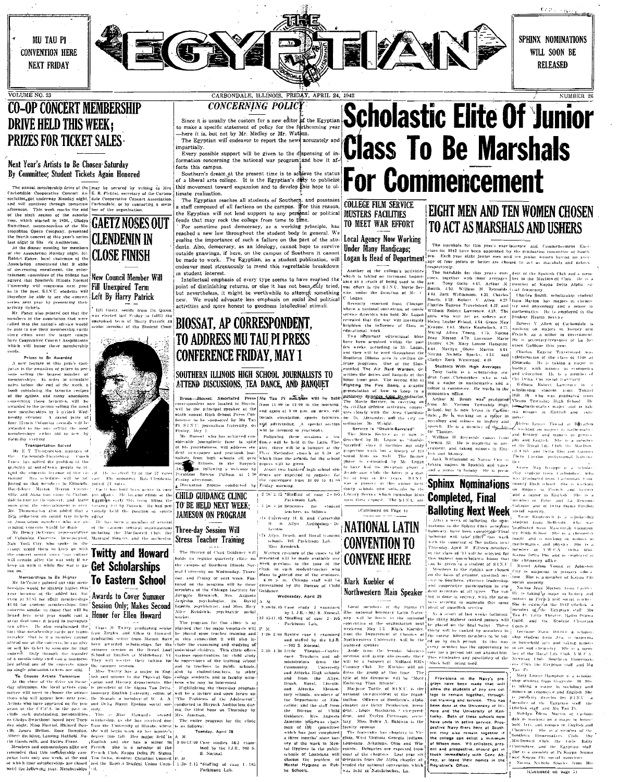**MII TAU PI CONVENTION HERE NEXT FRIDAY** 

VOLUME NO. 23



# **CO-OP CONCERT MEMBERSHIP DRIVE HELD THIS WEEK: PRIZES FOR TICKET SALES**

# Next Year's Artists to Be Chosen Saturday By Committee; Student Tickets Again Honored

The annual membership drive of the imay be secured by writing to Mrs<br>classificalle Conperative Concert As E. R. Fiction, secretary of the Carbon<br>sociolidan, got underway Monday night, that Conperative Concert Association,

Swarthout, meaz-sorption of the Me<br>
Swarthout opera Company, presented<br>
the fourth concert of this year's series<br>
last night in Sh c Auditorium.<br>
A the dimner meeting for members<br>
of the Association Monday ulght, Mr.<br>
Rob of decreasing enrollment, the enter<br>ainment committee of the college ha agreed that Southern Illinois Norma Tuiversity will cooperate next year.<br>is in the past, S.I.N.U. students will

as in the past. S.I.N.U. students will<br>therefore be able to see the concert<br>series arext year by presenting their<br>series arext year by presenting their<br>witches.<br>The Souther of the association that the<br>members of the associ since cities near the larger camps<br>have Cooperative Concert Associations<br>which will honor these membership

which will honor these membership<br>cards.<br> $N$  errors.<br> $\lambda$  move four of this years of the space of this year.<br> $\lambda$  move fourier is the sweathed of patter to per-<br>sum setting the moves number of the space number of<br>movement

## Transportation Solved

Transportation Solved<br>E T Thrognorton, manager of<br>Carbondah-Harrisburg – Coach<br>has solved the problem of the The signality of our of the problem of the animality of our content of the ST value of the content of the signality of our content of the signal disc content of the signal content of the signal of the signal content of th Figure and the method of the control of the control of the control of the control of the control of the control of the control of the control of the control of the control of the control of the control of the control of th

Momberships to Be Higher

Me the concerness to the Happer that  $\sum_{n=1}^{\infty}$  and  $\sum_{n=1}^{\infty}$  and  $\sum_{n=1}^{\infty}$  and  $\sum_{n=1}^{\infty}$  and  $\sum_{n=1}^{\infty}$  and  $\sum_{n=1}^{\infty}$  and  $\sum_{n=1}^{\infty}$  and  $\sum_{n=1}^{\infty}$  and  $\sum_{n=1}^{\infty}$  and  $\sum_{n=1}^{\infty}$ coincerts simulat to those that will be **UESSION UNITY**, **Makes Second** Locality, by the coincert and the state of the state of the forest and the forest and the forest and the state of the state of the forest and the sta

**CLENDENIN IN CLOSE FINISH** 

## **New Council Member Will Fill Unexpired Term** Left By Harry Patrick

Bill Gaetz, senior from Du Quoin,<br>vas elected last Friday to ruffill the<br>moxpired term of Harry Potrick as<br>enior member of the Student Coun-



The received 33 of the 57 votes

## CARBONDALE, ILLINOIS, FRIDAY, APRIL 24, 1942 CONCERNING POLICY

Since it is usually the custom for a new editor of the Egyptian<br>to make a specific statement of policy for the forthcoming year<br>—here it is, but not by Mr. Medley or Mr. Watson. The Egyptian will endeavor to report the news accurately and

impartially. Every possible support will be given to the dispensing of information concerning the national war program and how it af fects this campus.

Southern's dream at the present time is to achieve the status Source in surface the present time is to acquie the publicize<br>of a liberal arts college. It is the Egyptian's diffusion over<br>this movement toward expansion and to develop this hope to ultimate realization.

The Egyptian reaches all students of Southern, and possesses<br>a staff composed of all factions on the campus. For this reason,<br>the Egyptian will not lead support to any personal or political<br>feuds that may rock the college

For sometime past democracy, as a working principle, has<br>reached a new low throughout the student body in general. We realize the importance of such a fallure on the part of the students. Also, democracy, as an ideology, cannot hope to survive outside grawings, if here, on the campus of Southern it cannot<br>outside grawings, if here, on the campus of Southern it cannot<br>be made to work. The Egyptian, as a student publication, will

# dents. Ano. dents and debutes can also be some the state of Beat and the state of the state of the state of the state of the state of the state of the state of the state of the state of the state of the state of the state

**EXECT THE CONSULTS AND PERSONAL TRIP CAN A PROPERTY AND PERSONAL TRIP CAN ALL THE CONSULTS AND THE CONSULTS AND THE CONSULTS AND THE CONSULTS AND THE CONSULTS AND THE CONSULTS AND THE CONSULTS AND THE CONSULTS AND THE CO** 

cation; and the staff from chapter are Betty Pentherton, presi-

estions and the start from either are there is the transformation are the function of the function of the function of the function of the function of the start of the state of the start of the state of the state of the st

# **Scholastic Elite Of Junior Class To Be Marshals For Commencement**

## **COLLEGE FILM SERVICE MUSTERS FACILITIES** TO MEET WAR EFFORT

# Local Agency Now Working Under Many Handicaps;



# **EIGHT MEN AND TEN WOMEN CHOSEN TO ACT AS MARSHALS AND USHERS**

The marshals for this year's exert laurence and Commencement Exceptions for 1942 have been appointed by the graduation committee of Southern Control of Southern Properties and the properties of the state of the state of th

SPHINX NOMINATIONS

WILL SOON BE

**RELEASED** 

NUMBER 26

Summarize of the Expatian scale of the Samuel Condition of Garding Martins of Garding Martins of Garding Martins and discussion in the discussion of the Condition of Carlin and Condition of Carlin (Condition Condition Con ent and prospective, should get in the community and the expression in<br>the state in the state of Pt Kappa Summer of Pt Same Summer of Pt Kappa Summer<br>region of the community of the Summar Number of Pt Souths Trom Me<br>Regist

allow the students of any one college to remain together, through-<br>lege to remain together, through-<br>but training and service. This has<br>been done at the University of Hill-<br>most and the University of Ken-<br>have units in act ern may also remain together if<br>the college can enlist a minimum of fifteen men. V-5 enlistees, present and prospective, should get a

The Breaston and the server of the context of the context of the context of the context of the context of the context of the context of the context of the context of the context of the context of the context of the context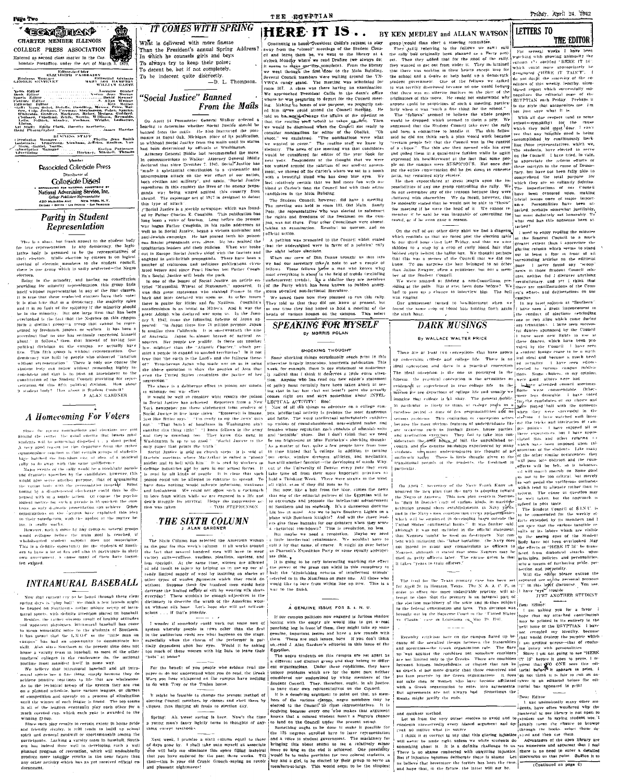# **CHARTER MEMBER ILLINOIS**

ARTICLE PRESS ASSOCIATION<br>
Entered as second class matter in the Carrier of March 3, 1879<br>
Indian Postoffice, under the Act of March 3, 1879<br>
Hindow Riffmorton

Ф

Solice under notice the state of the state of the state of the state of the state of the state of the state of the state of the state of the state of the state of the state of the state of the state of the state of the sta - Etak<br>- Buslaess Munager<br>- GEORGE - SEMPEN EY

 $\begin{minipage}{0.9\textwidth} \begin{minipage}{0.9\textwidth} \begin{tabular}{l} \bf{N-0.1} \bf{N-0.1} \bf{N-0.1} \bf{N-1.1} \bf{N-1.1} \bf{N-1.1} \bf{N-1.1} \bf{N-1.1} \bf{N-1.1} \bf{N-1.1} \bf{N-1.1} \bf{N-1.1} \bf{N-1.1} \bf{N-1.1} \bf{N-1.1} \bf{N-1.1} \bf{N-1.1} \bf{N-1.1} \bf{N-1.1} \bf{N-1.1} \bf{N$ 

 $(1) \label{eq:1}$   $(1) \label{eq:1}$   $(1) \label{eq:1}$   $(1) \label{eq:1}$   $(1) \label{eq:1}$   $(1) \label{eq:1}$   $(1) \label{eq:1}$   $(1) \label{eq:1}$   $(1) \label{eq:1}$   $(1) \label{eq:1}$   $(1) \label{eq:1}$   $(1) \label{eq:1}$   $(1) \label{eq:1}$   $(1) \label{eq:1}$   $(1) \label{eq:1}$   $(1) \label{eq:1}$   $(1) \label{eq:1}$ 

Member **Associated Collegiate Press** Distribute Collegiale Digest **Mational Advertising Service, Inc.**<br>National Advertising Service, Inc. Lattese Publishers Representative<br>420 MADISON AVE. - NEW YORK, N.Y.<br>CHICAG + ROSTON + LOS ARCELES + SAN FRANCISCO

# **Parity in Student** Representation

Thus is a situation that frame an exploration is the statent body<br>latter temp ephroses that any denote exp. the lagistic latter latter<br>latter of  $\alpha$  is assumed to be the representatives of<br>their electrons. With electric

electors,<br>
Eleng in the munority and having no constitution<br>
providing for munority representation, this group finds<br>
insert without representation in any of the four classes.<br>
It is true that these neglected electors have it is also true that in a democracy, the majority rule it is able to ture that in an denotincy. Use the<br>protony function in and it is no fault of the validing<br>ty if the minority should be in the minority. But only allows the<br>proton-control of the control of the state in the N ghant: In follows, then, that instead of having joint<br>penticial divisions on the campus we actually have free. This fifth group is without representation. Our five specifical<br>divisions of the simple who since the specific entation of this fifth political division. How about tr studient body? How about it Student Council J ALAN GARDNER

A Homecoming For Voters

Since the spring nominations and elections are pas

Since the spring nominations and elections are just a<br>modulations and elections are just areas from the control. In stati electron and the source<br>value is studied to the elementary dispersion of the source and the<br>perturb in really works.

inc. in early works, and the property and the state of the state of the state of the state of the state of the state of the state of the state of the state of the state of the state of the state of the state of the state ten existed

# **INTRAMURAL BASEBALL**

Now that current cry to be heard through these clea-Now that there is "plury ball" we detect a few leavests replacement of the speed on Southern's rather infinite accept of the<br>random speed on Southern's rather infinite accept of the<br>random places of the detection baseball Inside the sature on the state of the state of the state of the state of the mean solution to mean solution to the state of Southern to the state of the state of Southern of the state of the state of the state of the state house a varsity team in buseball, as most of the other<br>leachers' colleges in the conference do, the national

postime must manifest liself in some way. nostine ment manifest lisel? in some way.<br>We believe that intraparural baseball and all intra-<br>mural sports have a fine thing, simply because they do<br>achieve positive reactions to this that are whole<br>someoned As to the tec all of the leggues eventually play each other for :<br>nuch coveted cup, which each year is awarded to the

meric covered cup, which each year is waited to be<br>winning group.<br>Since such play results to rerular streat in botase Bride<br>and friendly rivary. It still tends to build up school<br>spliri and criteral goodwill or sportsmanab participants. Lacking a varsity team in baseball, South<br>ern has indeed done well in developing such a well  $\ldots$  ...., mass more unit well in developing such a well planned program of recreation, which will undoubtedly produce more tangingle results in the near fature than any other activity which has as yet received official

**IT COMES WITH SPRING** What is delivered with more finesse

Than the President's annual Spring Address In which he counsels girls and boys To always try to keep their poise; To decent be, but if not completely. be indecent quite discreetly.  $T_0$ .........<br>-D. L. Thompson.

# "Social Justice" Banned From the Mails

On April 14 Postmaster General Walker ordered a<br>Rearing to determine whether Social Justice should be<br>banned from the mails. He also hastituted the post-<br>master at Royal Oak, Michigan, place of its publication, withhold Spelal Justice from the mails until its status been determined by officials at Washington.

had been determined by officials at Vathlington.<br>A following the commentated die move to communications to Waker Attorney General Hiddle<br>the communications to Waker Attorney General Hiddle<br>" $\alpha$  made a sylociation constru

this type of attack".<br>CSocial Justice is a weekly newspaper which was found r Social Jostice is a weekly newspaper which was found-<br>ed by Father Charles E. Coughin. This paidleation has<br>long been a voice of tuscism. Long before the present<br>way began Father Coughiln, in his radio addresses as long heen a vote of function, Long hefore the present and only example was well as in Social Justice, herean a victime of the Social Justice (and the Social Justice Couple and Victime of the Social Society control on the S can in Europe Social Justice sided with the issectate and engineer of realization of engineer of realizons and sedikious publications circulations of the later party in the beam is the party later of the beam in the beam

has the great declared war noon us. In other issues back and inter sections of the and for Nazilson. Couplides there is praise for Hitler and for Nazilson. Couplides anti-Seminism is as brutal as Hitler's. And it was the great Adolph who declared war upon a. In the January Couchlin's nea red "In Japan there live 75 million persons, Japan te smaller than California. It is one-twentieth the size Is smaller than California. It is one-treathed the size<br>of Australia – Impact a formula in the response of matural resources. Her people are prolific, its there not another<br>have migitizer than the "Arlantic Charter," whic of? Treacherous Japan who made war on us is asing the United States recognizes the justice of her ression."<br>he above is a deliberate effort to poison our unnds.

Yosh recognize pair their statements from the<br>Social Justice in five large cities: "Roosevelt is linear pair like Hitter range." This meaning to true the terms<br>just like Hitter range." This meaning in Washington with the<br>m

our paint that prints the track<br> $\mathbf{u}^*$  and  $\mathbf{u}^*$  and  $\mathbf{u}^*$  and the<br>set of the scalar paints and the characteristic set of the scalar scalar<br>form is considered in the scalar scalar scalar scalar scalar scalar and toolsaness. We cannot all powers as a vertical in a life and<br>death stripping within while we are engineed in a life and<br>death strippie for survival. Hence the suppressive ac-<br> $+$  TOM STEPHENSON

# THE SIXTH COLUMN

Sixth Column has selected the American woman as the goat for this week's column It all works around the fact that several luminosit means that is not were the second term of the control of the state of the state of the state of the state of the state of the state of the state of the state of the state of the state of th dictionary to describe the wrath of the American won an without silk hase. Let's<br>scious . . . if that's possible. Let's hope she will get self-con

I wonder if somebody could work out some sort of<br>system whereby people in rows other than the first<br>in the auditorium could see what happens on the stage. .<br>especially when the charm of the performer is<br>tially dependent upon her eyes. Would it be a nar tially dependent upon her eyes. Would it be asking<br>too much of these women with big bats to leave their be asking

For the benefit of you people who seldom read the paper or do not anderstand what you do read, the Greek<br>Wars you hear whispered on the campus luve nothing to do with Troy or the Trojan horse

It might be feasible to change the present method of<br>electing Council members by classes and elect them by<br>cliques, thus limiting all feuds to election day.

Spring! All, aweet spring is here. Now's the time young man's tancy lightly turns to thoughts of anyexcept textbook

Next week, I promise a sixth column equal to those<br>of days gone by. I shall take unto myself an ussociate<br>who will help me eliminate this space filling material that you have endured for the past three weeks. Till -this is your old Cronic Grouch saying au revoir<br>:leasant nrightmares! then and ple

## THE ECTPTIAN

### HERE IT IS.. **LETTERS TO** BY KEN MEDLEY and ALLAN WATSON

Continuity to bond "Specification" Continuity of the state of the state of the state of the state of the state of the state of the state of the state of the state of the state of the state of the state of the state of the not wanted around the same of the Carter's where we sat in a<br>with a beautiful blond who has deep blue eyes<br>with a beautiful blond who has deep blue eyes<br>feel, relatively certain that we had more fun with<br>blond at Carter's  $\mathbf{w}$ candidates in the Main Buliding.

canous on the student Council, however, did have a meeting<br>The meeting was held in room 111, Okt Main. Sandy<br>Peat, the representative who was elected to safexture<br>the rights and freedoms of the freshmen on the can nus was not there. Four other Councilmen were absent  $\sim$ an examination. Results: no quorum, and no insing an exa<br>official action.

A netition was presented to the Council which stat that. the understaned were in favor of a political falls the stept before elections

When our crew of Dan Dunns brought us this When our crew of Dan Danas brought us this into the computer spectrum of relations. These fellows general creation of the capacity and the computer of the computer of the computer of the computer of the computer of the pa

From Society and the means of the planned to mean this rally.<br>They told us that they diff not know at prezent, but<br>as one time they had hoped to hold a meeting of the<br>heads of various houses on the campus. This select  $\vert_{\text{They}}$ 

**SPEAKING FOR MYSELF** By MORRIS POLAN

## SHOCKING THOUGHT

Some shocking things occasionally reach print in this otherwise largely innocuous, hourgeois pullication. This week, for example, there is out accouse week, it example, there is out accouse it is analogied by radical that Arrenne who has read our new editor's statement argents on." The above is a deliberate effort to poison our minds. [30] hold, Alfonge with care leader a late as the state of the state of the state of the state of the state of the state of the state of the state of the

Some and the third this paper can a college remover of the paper of the paper can be paper to paper the paper paper of the control of the control of the control of the control of the control of the canonical the control c r in basistillanchier function-die for everaging of malias with the line of the last the line of from their university of Deniver every year they rever<br>To | last time off from their university and the time of the line of<br>T

that one of the editorial policies of the Egyptian will be that one of the elatorial politics of the Egyptian will be<br>positive of the elatoric political political political political of Southern and its students. Ex a damentens doctrine<br>of Southern and its students. Ex a damenten

solt's Expedition Party or some equally appropri ss. Pi

It is going to be very interesting watching the effecthe power of the press can wield in this completely to<br>halt the "diminishing returns of intellectual stimult"<br>telected to in the Manifesto on page one. All those who would like to bore from within line up now. This is a to the finish

## A GENUINE ISSUE FOR S. I. N.

If our campus politicos now engaged in furious shadov n our campas pointer and the empty of a version state.<br>
hosting with the empty of a version purchase of the production of the production<br>
purching has in front of them, they might take up some<br>
genuine, important issues an Egyptian

The uegro students on this campus are set apart as reason and distinct group and they helong to different and distinct group and they helong to different organizations. Under these conditions, they have unique problems which are for the most part nelther condidered nor und to have their own representatives on the Council.

It is a deceiving argument to point out that, as mem First a decoeving presented to point out that as merely the except of the various effected to the Council of  $\frac{1}{2}$  of  $\frac{1}{2}$  as increases that a regime of  $\frac{1}{2}$  and  $\frac{1}{2}$  and  $\frac{1}{2}$  and  $\frac{1}{2}$  and  $\frac{$ 

Something ought to be done to make it possible for Something ought to be done to make it possible for the state of the 125 negroes enrolled here to have representation and a voice is student government. The machiney for bringing this about seems to me a relatively make tes

Figure 1. The state of the state of the state of the state of the state of the state of the state of the state of the state of the state of the state of the state of the state of the state of the state of the state. Then t

Front, or it is even nearly the state and determined the state of the control of the current of the control of the state which remains as that we need past the election table of the Student Council to a much of the state this was a number of the bouncal that we did not<br>w. To our satplise the hair belonged to no other<br>a dillus Swayne, often a petitioner, but not a mem-<br>of the Student Council.

# By WALLACE WALTER PRICE

There are at least such conceptions. that have given a simulation of these next in the second of the most least of the most least of the most least of the most least of the most least of the most least of the most least o There are at least two conceptions that have grown

FOR APPLITE IN the section of the Navy Frank Knox and to be too criticial but are<br>respective of the Navy Frank Knox and which lead the settlement intervents<br>income the new plane intervents of the Navy Frank Knox and which

Recently criticism have on the campus fared up be  $\{\text{and} \text{ terms}\}$ .<br>
came of the securited designs between the fracteristics  $\|\cdot\|$  and getting are<br>came of solutions of continuous control of the fact of the fact of the<br>
an Recently criticism here on the campus fiared up bements might justify the ends

 $[1, 10, 10]$ <br>
and quickest method.<br>
<br>
Let us from the very outser resolve to avoid and to return would enter the line of the structure of the structure of the structure of the structure of the structure of the content o

It that it is correct to say that this giantar may appear the set of the ones the weak of the set of the set of the set of the set of the set of the set of the set of the set of the set of the set of the set of the set of

THE EDITOR

several works I have been

erong vond than elser a steering committee.<br>
They call yelering to the field over the rank and the rank and the rank and the rank and the rank of the rank of the rank of the rank of the rank of the rank of the rank of the

From definite the state in the state of the state in the state of the state in the state of the state in the state of the state in the state of the state in the state of the state in the state of the state in the state of have seen new lights in use These dances, which have been pro-<br>trightly the Council I have been pro-<br>radial in the Council I have seen

not revealed my identity, because<br>that would destroy the purpose which

## Dear Editor

1. and undoubtedly many other stu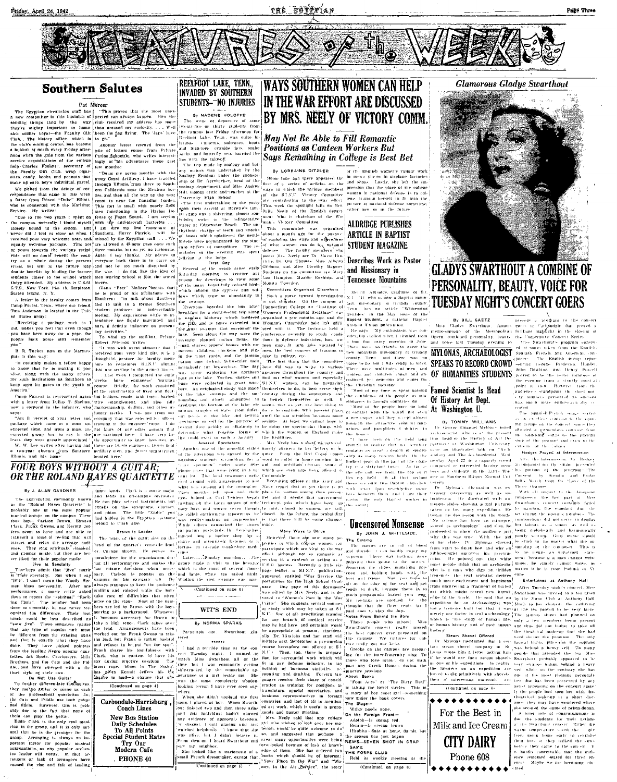Friday, April 24, 1942

THE EGYPYIAN



# **Southern Salutes**

Pat Mercer

The Egyptian circulation staff has  $\binom{1}{2}$  (This proves that the most unex<br>
a new competitor in this business of pected can always happen. How the<br>
sending things (and by the way) cubic received my address has now<br>
the

## REELFOOT LAKE TENN **INVADED BY SOUTHERN** STUDENTS- WO INJURIES By NADENE HOLOFFE

The scene of departure of some<br>twenty-five or thirty students from

# **WAYS SOUTHERN WOMEN CAN HELP** IN THE WAR EFFORT ARE DISCUSSED BY MRS. NEELY OF VICTORY COMM



**Glamorous Gladus Swarthout** 



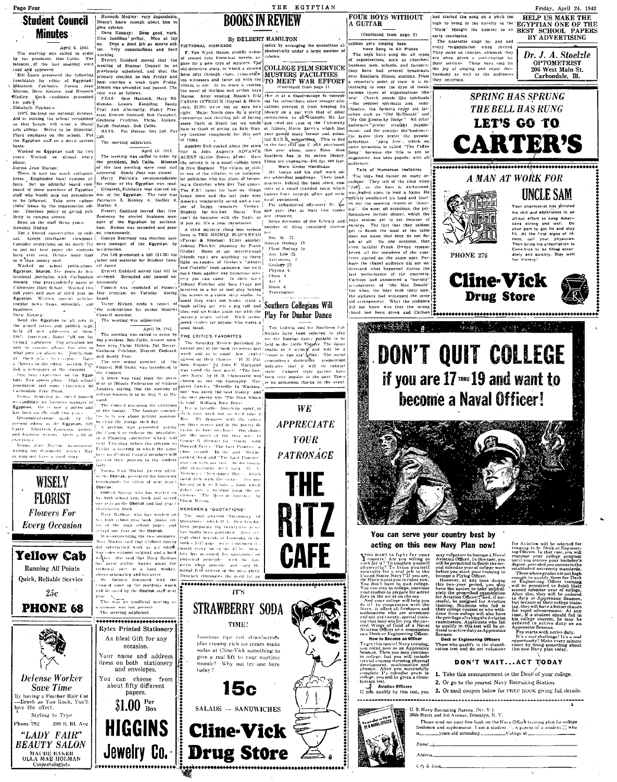Page Four

# **Student Council Minutes**

-<br>| April 6, 1942.

Applies a control and the presidents and the order in the president in the translation of the last methanics of the last methanic of the control control control control control control control control control control cont







Cosmetologists

Kenneth Mediey: very dependable escoa e não<br>Cive aninton jve opinion.<br>- Dave Kenney: Does good work.<br>\*\* - Saadling writer. Nice at lay Dave Kenney: Does good work.<br>Nice headline writer. Nice at lay<br>ou. Does a good job as sports edi-<br>tor. Very conscientious and bard

vocking<br>
Everett Goddard moved that the<br>
Everett Goddard moved that the<br>
neeting of Student Council be an<br>
primary election be this Friday and<br>
plinary election to this Friday.<br>
That circulon a week from Friday.

quoram was not present<br>The arecting adjoinmed.

\*\*\*\*\*\*\*\*\*\*\*\*\*\*\*\*\*\*\*\*\*\*

**Rytex Printed Stationery** 

An Ideal Gift for any

occasion.

Your name and address<br>dress on both stationery

and envelopes.

You can choose from

about fifty different

papers.  $31.00<sup>Per</sup>$ 

**HIGGINS** 

rar.<br>This was an unofficial meeting as

STRAWBERRY SODA **TIME!** 

Luscious rine red strawberries plus creamy rich ice cream make sodas at Cline-Vick something to give a real lift to your wartime morale! Why not try one here today?



Jewelry Co. **Drug Store** 

SALADS - SANDWICHES **Cline-Vick**  **FOUR BOYS WITHOUT** A GUITAR

By DELBERT HAMILTON

By DELBERT HAMILTON<br>
FICTIONAL HOMICIDE INTERFERENCE INTERFERENCE CONSIDER THE SURFACE CONSIDER THE SURFACE INTERFERENCE of second rate historical novels. ar-1-Turkets.<br>
FICE of second rate historical novels. A the second villain, is out. In its place is coming<br>the novel of intrigue and action, says

THE EGYPTIAN

**BOOKS IN REVIEW** 

(Continued from page 3)

communication and the state of the state of the state of the state of the state of the state of the state of the state of the state of the state of the state of the state of the state of the state of the state of the state over abuttern fitness stations, rrout<br>a reporter's point of view, it is for<br>teresting to note the type of music<br>various types of organizations like

**EXERCISE OF STRAIT SCRIPTION IN RESIDENT IN CONTRACT IN CONTRACT IN CONTRACT IN CONTRACT IN CONTRACT IN A CONTRACT IN CONTRACT IN A CONTRACT IN A CONTRACT IN A CONTRACT IN A CONTRACT IN A CONTRACT IN A CONTRACT IN A CONT** 

brain" broaght the number to an BEST SCHOOL PAPERS arte envolveion. early conclusion.<br>The quantities sings (or any and<br>every "organization when invited<br>They make an conreges, athousing they make often given a contribution (or<br>their services. These loops sump (or<br>their services. These loops

they entertain

had started the song on a pitch too

liad started the song on a pitch too HELP US MAKE THE

Dr. J. A. Stoelzle OPTOMETRIST 206 West Main St vo west main 31<br>Carbondale. Ill.

-<br>Friday, April 24, 1942

BY ADVERTISING





You can serve your country best by

# acting on this new Navy Plan now!

**acting on this net**<br>  $\mathbf{Y}$  country. Are you willing to  $\mathbf{Y}$  country. Are you willing to be the 12 factor of the line of the property of the property of the property of the property of the property of the property

for Aviation will be selected for the<br>signific to Pheck of the School (of the School (and the School (and the<br>significant of the School (and the School (and the School (and the<br>selected pheck of the School (and the School **WE WE VE THE THOMAS CONSUMER AND SURFACE AND NOTE AND SURFACE CONSUMER AND CONSUMER AND CONSUMER AND NOTE AND SURFACE AND SURFACE AND SURFACE AND SURFACE AND SURFACE AND SURFACE AND SURFACE AND SURFACE AND SURFACE AND SU** 

Appentice Seaman,<br>
Phy starts with active duty,<br>
It's a real challenge! It's a real<br>
opportunity! Make every minute<br>
count by doing something about<br>
this new Navy plan today, ewen.<br>Deck or Engineering Officers Those who qualify in the classification test and do not volunteer

## DON'T WAIT...ACT TODAY

rapid advancement.  $\ell$ , if a student should<br>college courses, he  $\pi$ <br>lered to active duty<br>prentice Seaman.

1. Take this announcement to the Dean of your college 2. Or go to the nearest Navy Recruiting Station.

acative tract.<br>The Aviation Officers<br>It you qualify by this test, you 3. Or mail coupon below for FREE BOOK giving full details.

U. S. Navy Recruiting Bureau, Div. V-1<br>30th Street and 3rd Avenue, Brooklyn, N. Y

| a caacee and one nyempe, isroomiya, iy, i, |                                                                             |  |
|--------------------------------------------|-----------------------------------------------------------------------------|--|
|                                            | Please send me your free hook on the Navy Officer training plan for college |  |
|                                            | reshmen and sophomores. I am a student ' , a parent of a student □ win      |  |
|                                            |                                                                             |  |
|                                            |                                                                             |  |
| $Name_1$                                   |                                                                             |  |
| Address________________                    |                                                                             |  |
|                                            |                                                                             |  |

| City & Sale |  |  |
|-------------|--|--|
|             |  |  |

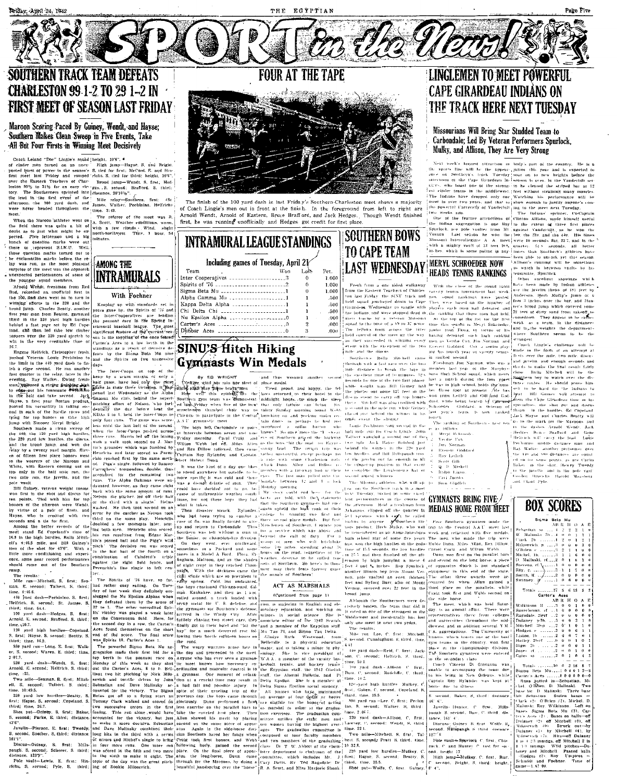**FOUR AT THE TAPE** 

# **CHARLESTON 99 1-2 TO 29 1-2 IN FIRST MEET OF SEASON LAST FRIDAY**

## Maroon Scoring Paced By Guiney, Wendt, and Hayse; Southern Makes Clean Sween in Five Events, Take All But Four Firsts in Winning Meet Decisively

Coach Leiand "Dec" Lionie" e anizal liedgib.<br>
1967: Coach Leiand "Dec" Lionie" e anizal liedgib.<br>
1967: Coach de maine "Night hamp--Brase. S. sind Deciple.<br>
1968: peeti last Pride sensor "S. tied for first, each diverse t

were never headed throughout the sums a star. recommon the<br>first-<br>meet. The star and the star of the meter of the meter of the meter<br>and A. Scott. We<br>alther evaluations, warm, the field there were used as the star of the<br>



The finish of the 100 vard dash in last Frida v's Southern-Charleston meet shows a majority In times of Coach Lingle's men out in front at the finish. In the foreground treen shows a majorny<br>of Coach Lingle's men out in front at the finish. In the foreground from left to right are<br>Arnold Wendt, Arnold of Eastern,

|     | INTRAMURAL LEAGUE STANDINGS          |      |          |
|-----|--------------------------------------|------|----------|
|     | Including games of Tuesday, April 21 |      |          |
|     | Team<br>Won                          | Lost | Pet.     |
|     | Inter Cooperatives 3                 |      | 1.0      |
|     |                                      |      | 1.0      |
|     | Sigma Beta Mu 1                      |      | 1.0      |
|     | Alpha Gamma Mu 1                     |      | .5       |
| 'n  | Kappa Delta Alpha 1                  |      | 5        |
| ų.  | Chi Delta Chi 1                      |      | Ĵ.       |
| Ŕ.  | Nu Epsilon Alpha 0                   |      | J.       |
| śť. |                                      |      | $\Omega$ |
|     |                                      |      | $\Omega$ |
|     |                                      |      |          |

# **LINGLEMEN TO MEET POWERFIII. CAPE GIRARDEAU INDIANS ON** THE TRACK HERE NEXT TUESDAY

## Missourians Will Bring Star Studded Team to Carbondale; Led By Veteran Performers Spurlock. Mulkv. and Allison. They Are Very Strong

Next week's longest attraction in body part of the country. He is a line space in the case of the country in the space of the space of the space of the space of the space of the space of the space of the space of the spac

meet in over two peaks, and that to jet<br>us noneal to justify anyone's non-line poseital Carteristy of Variated<br>via  $\gamma_1$  and the meet are<br>a Tatestay, two weeks are. Computed to the feature attentions of Clinton Alibon, m

| doubt as to just what might be ex-<br>nected. Five lettermen and a big                                 | north-northwest. Time, 1 hour. 54                                                                                                                                           |                                                                                                                                                                                                                                                                  |                                                                          | <b>SOUTHERN BOWS</b>                                                                                                                                                                                                                 | Vernon. Last season he won the two the 220, and the 440. His times                                                                                                                                                                     | роноск, асе роје уашиет тгаво за гадајња уадијенци, да не моји гњ                                                                                 |
|--------------------------------------------------------------------------------------------------------|-----------------------------------------------------------------------------------------------------------------------------------------------------------------------------|------------------------------------------------------------------------------------------------------------------------------------------------------------------------------------------------------------------------------------------------------------------|--------------------------------------------------------------------------|--------------------------------------------------------------------------------------------------------------------------------------------------------------------------------------------------------------------------------------|----------------------------------------------------------------------------------------------------------------------------------------------------------------------------------------------------------------------------------------|---------------------------------------------------------------------------------------------------------------------------------------------------|
| bunch of question marks were out                                                                       | mitutes.                                                                                                                                                                    | <b>INTRAMURAL LEAGUE STANDINGS</b>                                                                                                                                                                                                                               |                                                                          |                                                                                                                                                                                                                                      |                                                                                                                                                                                                                                        | Missouri Intercollegiate A A. meet were 10 seconds flat, 22.7, and in the                                                                         |
| there to represent S.I.N.U. Well,                                                                      |                                                                                                                                                                             |                                                                                                                                                                                                                                                                  |                                                                          |                                                                                                                                                                                                                                      |                                                                                                                                                                                                                                        | with a mighty vault of 13 feet 10-2, quarter. 51.8 seconds, all better                                                                            |
| those question marks turned out to                                                                     |                                                                                                                                                                             |                                                                                                                                                                                                                                                                  |                                                                          | <b>TO CAPE TEAM</b>                                                                                                                                                                                                                  | inches, which is some poling in any linnes than Southern's athletes have                                                                                                                                                               | been able to uncork yet this season                                                                                                               |
| be exclamation marks before the re-<br>lay was run, as the most pleasant                               |                                                                                                                                                                             | Including games of Tuesday, April 21/                                                                                                                                                                                                                            |                                                                          |                                                                                                                                                                                                                                      | ¦MERYL SCHROEDER NOW                                                                                                                                                                                                                   | Allison's running will be something                                                                                                               |
| surprise of the meet was the copnotel                                                                  | <b>AMONG THE</b>                                                                                                                                                            | Team                                                                                                                                                                                                                                                             | Won<br>Lost<br>Pet.                                                      | <b>LAST WEDNESDAY</b>                                                                                                                                                                                                                |                                                                                                                                                                                                                                        | to watch in herween vanits by he                                                                                                                  |
| unexpected performances of some o                                                                      | <b>INTRAMURALS</b>                                                                                                                                                          | Inter Cooperatives 3                                                                                                                                                                                                                                             | $\Omega$<br>1.000                                                        |                                                                                                                                                                                                                                      | HEADS TENNIS RANKINGS                                                                                                                                                                                                                  | tennmate, Spurlock.                                                                                                                               |
| the younger squad members.                                                                             |                                                                                                                                                                             |                                                                                                                                                                                                                                                                  | 1.000<br>O.                                                              | Fresh from a one sided walkaway                                                                                                                                                                                                      |                                                                                                                                                                                                                                        | Other excellent showings<br>have been made by Indian attiletes                                                                                    |
| Afnold Wendt, freshman from Red                                                                        |                                                                                                                                                                             |                                                                                                                                                                                                                                                                  | 1.000                                                                    |                                                                                                                                                                                                                                      | With the close of the round rabin<br>from the Eastern Teachers of Charles carsity tennis tournament last week.                                                                                                                         | me the lavelin throw of 181 feet by                                                                                                               |
| Bud, recorded an anofficial first in<br>the 100, find then went on to turn in                          | With Foehner                                                                                                                                                                | Alpha Gamma Mu 1                                                                                                                                                                                                                                                 | -500                                                                     |                                                                                                                                                                                                                                      | ton last Friday the SINT track and new squad rankings, were posted                                                                                                                                                                     | Anderson, Herb Mulky's jump of 6                                                                                                                  |
| winning efforts in the 220 and the                                                                     | Keeping up with standards set in                                                                                                                                            | Kappa Delta Alpha 1                                                                                                                                                                                                                                              | .500                                                                     |                                                                                                                                                                                                                                      | held squad journeyed down to Cape They were based on the number of                                                                                                                                                                     | feet 3 inches over the bar, and Hun-                                                                                                              |
| broad jump. Charles Beatty, another                                                                    | vears gone by, the Spirits of '76 and                                                                                                                                       | Chi Delta Chi 1                                                                                                                                                                                                                                                  | .500                                                                     |                                                                                                                                                                                                                                      | Girardess Wednesday to tangle with players each man had deteated and                                                                                                                                                                   | ter's broad jump which covered some<br>22 teet of dirty sand from takeoff to                                                                      |
| first year man from Benton, garnered                                                                   | the luter-Cooperatives are leading                                                                                                                                          | Nu Epsilon Alpha 0                                                                                                                                                                                                                                               | 4000                                                                     |                                                                                                                                                                                                                                      | the ladians, and were stopped dead in , the canking that those men had held.<br>their tracks by a veteral Missourt. At the top of the list for the first                                                                               | comedown. They appear to be rather                                                                                                                |
| third in the 120 yard high hurdles<br>behind a fast page set by Ed Cape-                               | the pennant race in the Spring in-<br>tramural baseball league. The most                                                                                                    |                                                                                                                                                                                                                                                                  | .000                                                                     |                                                                                                                                                                                                                                      |                                                                                                                                                                                                                                        | weak as a team, in the distance-                                                                                                                  |
| land, and then led thus low rimber                                                                     | significant feature of the current sea-                                                                                                                                     |                                                                                                                                                                                                                                                                  | .000                                                                     |                                                                                                                                                                                                                                      | squad to the tune of a 89 to 37 sense. time this season is Mergi Schröeder, <sup>1</sup> weak as a team. In the distance-<br>The fellows from across the river junior from Flora, by virtue of his and in the weights the departments. |                                                                                                                                                   |
| toppers over the 220 yard stretch to                                                                   | son is the toppling of the once feared                                                                                                                                      |                                                                                                                                                                                                                                                                  |                                                                          |                                                                                                                                                                                                                                      | held control of the meet all the way, having deteated, such high ranking                                                                                                                                                               | where Southern seems to be th<br>strongest                                                                                                        |
| win in the very creditable time of<br>26.7                                                             | Carter's Aces to a low betth in the                                                                                                                                         |                                                                                                                                                                                                                                                                  |                                                                          |                                                                                                                                                                                                                                      | as they succeeded th winning every men as Verdue Cox. Fin Norman and<br>event with the exception of the two Everett Goddard. Cox a senior play-                                                                                        | Coach Lingle's challenge will b                                                                                                                   |
| Eugene Helfrich, Christopher frosh                                                                     | standings as a result of decisive de-<br>feats by the Sixma Bota Mn nine                                                                                                    | <b>SINU'S Hitch Hiking</b>                                                                                                                                                                                                                                       |                                                                          | I note and the diacos.                                                                                                                                                                                                               | ing his touch year of varsity tenur-                                                                                                                                                                                                   | made in the form of an attempt a                                                                                                                  |
|                                                                                                        | pushed Veteran Louie Pechinino to and the Spirits on two successive                                                                                                         |                                                                                                                                                                                                                                                                  |                                                                          | Southern's Rolla Mitchell came is ranked second.                                                                                                                                                                                     |                                                                                                                                                                                                                                        | firsts over the mile, two mile, discu<br>and javelin, and enough seconds and                                                                      |
| the limit in the 440 yard dash to fin- days.                                                           |                                                                                                                                                                             | <b>Gymnasts Win Medals</b>                                                                                                                                                                                                                                       |                                                                          |                                                                                                                                                                                                                                      | through with a fast race over the two. Freshman Jim Norman, who was a                                                                                                                                                                  | thods to make the final result futely                                                                                                             |
| ish a cigse second. He ran another<br>fast quarter in the relay, later in the                          | The Inter-Coops on top of the                                                                                                                                               |                                                                                                                                                                                                                                                                  |                                                                          |                                                                                                                                                                                                                                      | inite distance to break the rape in member last year of the Marphys-<br>the excellent time of to minures, ngs, buto High School squad, which never                                                                                     | close Rolla Mitchell will be the                                                                                                                  |
| evening. Ray Walker, Ewing fresh-                                                                      | heap by a scant margin of only a<br>hair game, have had only one riose                                                                                                      | By ED WRIGHT                                                                                                                                                                                                                                                     | and thus winning another second                                          |                                                                                                                                                                                                                                      | seconds for one of the two first places. lost a nutrile during the four years                                                                                                                                                          | Southern boy to watch over the dis-                                                                                                               |
| man, unicosed a strang finishing stight                                                                | to edge-out his teammate retains with a later in their three victories. It has inches sign way these brate-men                                                              | (Neither wind nor rain nor sleet of place medal.                                                                                                                                                                                                                 | Tired proud and hanny the fel-                                           |                                                                                                                                                                                                                                      | while weight man Bill Gamey laid he was in high school, holds the num-                                                                                                                                                                 | tance coutes. He should prove him<br>self to be hard for the fudbank to                                                                           |
|                                                                                                        |                                                                                                                                                                             | pened last Wednesday as the Alpha   How well this epither the laws returned to their hotel in the                                                                                                                                                                |                                                                          |                                                                                                                                                                                                                                      | the platter out some 127 feet in the bet three Spot at present. He has                                                                                                                                                                 | beat. Blll Games will attented to                                                                                                                 |
|                                                                                                        |                                                                                                                                                                             | in the helt and take second. Jeck cannot be club, behind the superb Southern gym team was demonstrat inidialght hours, to sleep the sleep                                                                                                                        |                                                                          |                                                                                                                                                                                                                                      | discusserent to early off top homors wan from Lettch and Gill And God-<br>these. Mitchell was also credited with dard, while being beaten by Cox and dem the Cape Girardean time in his                                                |                                                                                                                                                   |
| phoved his versatility in taking sec-                                                                  |                                                                                                                                                                             | pitching effort of Nelson, who incl. ed last Friday when five of the local that only tatigue can bring Siv-<br>dentally the day before bent the muscle-nien thumbed their way to thirty Sunday morning tound Webb                                                |                                                                          |                                                                                                                                                                                                                                      | n second in the nule run, while Guiney, Schoonler - Goddard, in Meteran of                                                                                                                                                             | specialties, the shot not and disens<br>throw in the hurdles. Ed Concland                                                                         |
| ond in each of the hurdle races and<br>tying for top honors in thise high                              |                                                                                                                                                                             | KDAs 5 to 1, held the inter-Coops to Chicago to participate in the Central knocking on and pecking under eco-                                                                                                                                                    |                                                                          |                                                                                                                                                                                                                                      | iduced over behind the winner in his last. Year's team, is how cranked<br>rourth.                                                                                                                                                      | (Jack Hayse, and Charles Beatty will                                                                                                              |
| jump with Sinooer Meryl Bright.                                                                        | only four runs. The game was score- $_{1}^{+}$ A.A.U. gymnastic meet                                                                                                        |                                                                                                                                                                                                                                                                  | tain doors to perhaps be had just                                        | other event, the shorner                                                                                                                                                                                                             | The ranking of Southern's fast ten-                                                                                                                                                                                                    | go to the mark tot the Marnons, and                                                                                                               |
| Southern nude a clean sweep of                                                                         | less until the last hair of the second.                                                                                                                                     | The boys left Carbondale in pairs unsubsced a sollar burner who                                                                                                                                                                                                  |                                                                          | Lonie Pechlotno took second in the<br>halt inde our for Coach Lingle, John-                                                                                                                                                          | is as follows.                                                                                                                                                                                                                         | in the dashes Arnold Wendt, Jack                                                                                                                  |
| the 440, the 120 yard high hurdles.                                                                    |                                                                                                                                                                             | when the futer-Coops pushed across at intervals between seven and num knows? So once more the "I sweat<br>three cuns. Harris led off the inning ; Friday morning. Carol Craig and Craig and Southern graced the hochway                                          |                                                                          | Tailbert wangled a second out of they                                                                                                                                                                                                | Mervi Schrned                                                                                                                                                                                                                          | Hedges, Brace Brafford, and Gene<br>Helmich will carry the hand. Louise                                                                           |
| the 220 yard low hurdles, the discus-<br>and the broad junip, and won the                              |                                                                                                                                                                             | with a walk took second on J. Mar Wilton Webb led off. Miles Allen as the boys "lift the road too Ecypt's                                                                                                                                                        |                                                                          | two mile, Jack Hayse finished just                                                                                                                                                                                                   | Verdie Cox<br>Jin, Norman                                                                                                                                                                                                              | Pechanno anddle distance man and                                                                                                                  |
| relay by a twenty yard margin. Elev-                                                                   |                                                                                                                                                                             |                                                                                                                                                                                                                                                                  |                                                                          | tin's grounder which was fumbled by and Rex Dillow followed, then came stony land. The recum tarp was behind the winner in the 220 yard                                                                                              | Exercit Göddaré                                                                                                                                                                                                                        | Ray Walker another performer over                                                                                                                 |
| en of fifteen first place honors wen                                                                   | chio rezched first by the same meth- select Hubert Dunn.                                                                                                                    |                                                                                                                                                                                                                                                                  |                                                                          | Henrichs and later scored as Peren- Captain Roy Rylander and Captain rather uneventful except perhaps to low hurdles and Bill Millspanch toss<br>on rate with some Charleston girls of the poschi out far enough to fill             | Roy Ledich                                                                                                                                                                                                                             | the Die and Ske distances, are count<br>ed on for some points, as are Carlin                                                                      |
| to the wearers of the Marcon and<br>White, with Eastern coming out or                                  |                                                                                                                                                                             |                                                                                                                                                                                                                                                                  |                                                                          |                                                                                                                                                                                                                                      | Scott Gill<br>Q D Miskell                                                                                                                                                                                                              | Baker in the shot. Hewey Tweedy                                                                                                                   |
| top only in the half mile run, the                                                                     |                                                                                                                                                                             |                                                                                                                                                                                                                                                                  |                                                                          | on crist a single followed by Sammy.<br>Carreghers' remembers desides thus to a power and the other will be the finance of the control to the control in the event<br>Carreghers' fremework desides thus to be a power but outside t | Ralph Ligon.                                                                                                                                                                                                                           | in the javelle, and in the pole vant                                                                                                              |
| two mile run, the Javelin, and the                                                                     |                                                                                                                                                                             | accounted for the remaining two move specific it was cold and there they The fast man pulled must can<br>runs. The Alpha Cammas were until was a dismal driazie of rain. They boundate between 12 and 1 o lock.<br>domated bounded a                             |                                                                          |                                                                                                                                                                                                                                      | Cari Jacobs                                                                                                                                                                                                                            | Goodon Hinesdas Harold Mausberg<br>and Claud Pylic                                                                                                |
| pole woult.<br>Bill Guiney, veteran weicht tosser                                                      |                                                                                                                                                                             | meck with the same amount of rans, and the same amount of rans, and the same amount of rans, and the same amount of rans,                                                                                                                                        |                                                                          | . The Missouri athletes, whe will ap- to<br>The on the Southern reach this meet                                                                                                                                                      | Sain Glodich                                                                                                                                                                                                                           |                                                                                                                                                   |
| won first in the shot and discus for                                                                   |                                                                                                                                                                             |                                                                                                                                                                                                                                                                  | cause of unfavorable weather condi   My story could end here, for the    | nev. Tuesday turned in some cared                                                                                                                                                                                                    |                                                                                                                                                                                                                                        |                                                                                                                                                   |
| bonnes of the afternon were Wendt                                                                      | ten points. Tied with him for top Nelson the pitcher, led off their hulf<br>of the third with a single. Helms, and the first day they had to be are took with the statement |                                                                                                                                                                                                                                                                  |                                                                          | lent performances in the course of GYMNASTS BRING FIVE                                                                                                                                                                               |                                                                                                                                                                                                                                        |                                                                                                                                                   |
|                                                                                                        |                                                                                                                                                                             |                                                                                                                                                                                                                                                                  |                                                                          |                                                                                                                                                                                                                                      |                                                                                                                                                                                                                                        |                                                                                                                                                   |
| by virtue of a pair of firsts, and                                                                     |                                                                                                                                                                             |                                                                                                                                                                                                                                                                  |                                                                          | The atternoon. Rold a treshman from                                                                                                                                                                                                  |                                                                                                                                                                                                                                        | <b>BOX SCORES</b>                                                                                                                                 |
| Hayse, who is credited with two                                                                        | whiled. He then took second on an what it takes.                                                                                                                            |                                                                                                                                                                                                                                                                  | Then disaster struck. Rylander ugain upheld the high rank of their       | Atkansas, clipped off the quarter in MEDALS HOME FROM MEET<br>50.1 systems, which super be called                                                                                                                                    |                                                                                                                                                                                                                                        |                                                                                                                                                   |
| seconds and a tie for first.                                                                           |                                                                                                                                                                             | the contract of the same play. Henrichts who had been trying to combat a change has winning two first and the same play. Henrichts were a set of the same play. Henrichts and<br>case of flu, was finally forced to give                                         |                                                                          | loading by anyone. Southern life! Five Southern gymsters made the                                                                                                                                                                    |                                                                                                                                                                                                                                        | Sicma Beta Mu<br>ABRITO AR                                                                                                                        |
| Among the better records of the<br>meet stand Ed Copeland's time of                                    | ing both men. Henrichs also scored.                                                                                                                                         | doubled a few moments later, seen case of his was anally forced to knew.<br>Adoubled a few moments she moned up and return to Carbondale. Thus Musclemen of Southern, I salure you                                                                               |                                                                          |                                                                                                                                                                                                                                      | nots product. Herb Mulky, who will trip to the Central A.A.U. meet last                                                                                                                                                                | Sebastian.<br>111 4 12 13 13                                                                                                                      |
|                                                                                                        |                                                                                                                                                                             | Southern was left without a man in 100 a service which was above and                                                                                                                                                                                             | beyond the call of daty. For a                                           | be remembered as an Anna-Joneshoro week and returned with five medals<br>high school star of some five years. The men who made the trip were                                                                                         |                                                                                                                                                                                                                                        | W. Mahnski 26, 14 000                                                                                                                             |
|                                                                                                        | pitch' The decisive run was scored!                                                                                                                                         | ell's 4:46.5 mile, and Bill Gainey's line passed ball and the Pigg's wild. The Senior, or championship division<br>On they went, ever northward                                                                                                                  | group of men who will hitch-like                                         | age, wen the high hurdles in the godo Hubie Dana. Miles Allan, Rex Hillow,                                                                                                                                                           |                                                                                                                                                                                                                                        | Ciack 26 1 2 0 1 2<br>Milosevich, p. 3<br>$0 \quad 0 \quad 3$                                                                                     |
|                                                                                                        |                                                                                                                                                                             | sometimes in a Packard and some                                                                                                                                                                                                                                  | some 700 infles, spending about 36                                       | time of 15.5 seconds, the low hordles, Carrol Crate, and Wilton Webb,<br>on 25.5 and then finished off the aft- Dunn won first on the parallel bars                                                                                  |                                                                                                                                                                                                                                        | O'Brien, c. 3                                                                                                                                     |
| this 7.79.0 mills, who are the putch the use of the fourth on a<br>ence, some near record performances | combination of Calufetti's triple                                                                                                                                           | fingham, Mattoon, and as the shades                                                                                                                                                                                                                              | times in a Model A Ford. Flora. En- hours on the road, regardless of the |                                                                                                                                                                                                                                      |                                                                                                                                                                                                                                        | Michel, $\left\langle \text{Th}, \ldots, \ldots, \text{St} \right\rangle$ 1<br>D. Malluski, rf 2 0 1 u 3                                          |
| should come out of the Southern                                                                        | ugainst the right field fence, and<br>Perenchio's line single to left cen-                                                                                                  | of night crept in they reached Cham-                                                                                                                                                                                                                             | men may their feats forever grace                                        | weather, deserve to be called the sendom by high jumping a mere 6 and second on the long lorse, a piece                                                                                                                              | feet 4 and 5s inches. Roy Spuriock of apparatus which is not standard                                                                                                                                                                  |                                                                                                                                                   |
| camp.<br>The results:                                                                                  | ter. .                                                                                                                                                                      | paigh. With the darkness came the<br>chill winds which are so prevalent in                                                                                                                                                                                       | the annuls of Southern!                                                  | another illinois boy from Mount Ver-                                                                                                                                                                                                 | equipment in this end of the state                                                                                                                                                                                                     | Stevens, rf. $\{, 1, 0, 0, 0, 0, 0, 0, 0,  \}$ $2 \cdot 1, 1, 7$<br>$\ldots$ . $2 \cdot 1 \cdot 1 \cdot 7$ .<br>Smith, If.<br>$\ldots$ 2 0 0 0 0  |
| Mile run-Mitchell, S. first; Sea-                                                                      |                                                                                                                                                                             | The Spirits of '76 have, so far, early spring. Cold. but undaunted.                                                                                                                                                                                              |                                                                          | non, pole vaulted an even thirteen The other three awards were ac-<br>feet and Byford Barr, also of Mount                                                                                                                            | counted for when Allan gained a                                                                                                                                                                                                        | Swinney. V<br>$\ldots \ldots \hspace{-0.08cm} \begin{array}{cc} 1 & 0 & 0 & 0 \end{array} \hspace{0.2cm} \begin{array}{cc} 0 & 0 & 0 \end{array}$ |
|                                                                                                        |                                                                                                                                                                             | man. E. second: Talbert, S. third;   had rather casy sailing. On Tues inhe boys continued Chicago-ward. Gil-                                                                                                                                                     | ACT AS MARSHALS                                                          | Vernon, covered over 22 feet in the                                                                                                                                                                                                  | third place on the parallels, while                                                                                                                                                                                                    | 27556155<br>Totals                                                                                                                                |
| time, 4:46.6.<br>440 yard dash-Pechinino. S. first;                                                    | slugged the Nu Epsilon Alphas when                                                                                                                                          | day of last week they definitely out- man. Kankakee, and then as I am<br>rolled around, a truck loaded with                                                                                                                                                      | (Continued from page 1)                                                  | broad jump                                                                                                                                                                                                                           | Craiz took first and Webb second on<br>the side horse.                                                                                                                                                                                 | Carter's Aces                                                                                                                                     |
| Helfrich, S. second; St. James, S.                                                                     |                                                                                                                                                                             | they defeated them by the score of scrap metal for U. S. defense, and                                                                                                                                                                                            | rion, is majoring in English and ele-                                    | Although the Southerners were de-<br>cisively beaten, the team that did it                                                                                                                                                           | The meet, which was held Satur-                                                                                                                                                                                                        | ABR HOA<br>Wilkinson If  7 0 0 1 0                                                                                                                |
| third; time, 54.4.                                                                                     |                                                                                                                                                                             | 22 to 1. The other necredited Spir- the gymnasts for Southern's defense.                                                                                                                                                                                         | imentary education, and working on                                       | it rated as one of the strongest in the                                                                                                                                                                                              | day, is an annual affair. There were                                                                                                                                                                                                   | Sauerbrunn, ef<br>$0$ 0 0 0                                                                                                                       |
| 100 yard dash-Hedges, S. first;<br>Arnold, E. second; Brafford, S. third;                              |                                                                                                                                                                             | its' victory was played a week later arrived in the Windy City. After                                                                                                                                                                                            | minors in social science. She is                                         | Middlewest and incidentally has lost                                                                                                                                                                                                 | representatives there from colleges<br>and aniversities throughout the mid-                                                                                                                                                            | Rugsdale, 2994 11.2 0 0 0 0<br>Dulaney p-3h,  3 u 0 2                                                                                             |
| time, 110.7.                                                                                           |                                                                                                                                                                             | on the Chautauqua field. Here, for tutilely chasing two street cars, they associate editor of the 1942 Scarph.<br>the second day in a row, the Carter's   finally got to their hotel and "hit the land a member of the Egyptian staff                            |                                                                          | only one meet in over two yedes.<br>The results:                                                                                                                                                                                     | diewest, and in addition several Y-M                                                                                                                                                                                                   | Mitchell 3b-p 2 0 1                                                                                                                               |
| 120 yard high hurdles-Cobeland.                                                                        |                                                                                                                                                                             | Acts found themselves on the short ay" for a much deserved rest fol- Mu Ton PI, and Sigma Tau Delta.                                                                                                                                                             |                                                                          | Mile run Lee, C. first: Mitchell,                                                                                                                                                                                                    | C.A. aggregations. The University of                                                                                                                                                                                                   | Hodges. c 2 0 0 6 1                                                                                                                               |
| S. first; Hayse, S. second; Beatly, S.<br>third: time, 16.9.                                           | was Spirits 10. Carter's Aces 1.                                                                                                                                            | end of the score. The final score lowing their hectic eighteen hours on<br>the road.                                                                                                                                                                             | -Gladys Ruth Westwood, from<br>Belleville, is a physical education       | S. second. Cunningham. S. third. time                                                                                                                                                                                                | litinois, which hoasts one of the best<br>gym teams in the country, won first                                                                                                                                                          | $1.151001, 111, \ldots, 2, 0, 0, 7$<br>Natiey, 2bof b<br>$0 + 1 + 0$                                                                              |
| 880 vard cun-Long. E. first: Walk                                                                      |                                                                                                                                                                             | The powerful Sigma Beta Mu ag- The weary warriors arese late in                                                                                                                                                                                                  | major, and is taking a minor in phy-                                     | 4.43                                                                                                                                                                                                                                 | place in the championship division.                                                                                                                                                                                                    | Gigen 2b  2 0 0 0 1<br>lones of                                                                                                                   |
| er, S. second; Waren, E. third; time,<br>2:07.7.                                                       |                                                                                                                                                                             | gregation made their first bid for a the day and proceeded to the meet.                                                                                                                                                                                          | siology. She is vice president of                                        | 440 vard dash-Reid, C. Brst; Jack-<br>son, C. second; Helfrich, S. third,                                                                                                                                                            | The Southern gymsters were entered                                                                                                                                                                                                     | $\ldots$ $\ldots$ $\mathbf{z}$ $\cdots$ $\mathbf{n}$ $\mathbf{i}$ $\cdots$                                                                        |
| 220 yard dash-Wendt, S. first;                                                                         |                                                                                                                                                                             | top berth in the pennant race on Anyone who has ever seen a gymnas. W.A.A. a member of the varsity bas-                                                                                                                                                          |                                                                          | time, 50.1.                                                                                                                                                                                                                          | ur the secondary class<br>Coach Vincent Di Giovanna was                                                                                                                                                                                |                                                                                                                                                   |
| Arnold, E. second; Helfrich, S. (bird;                                                                 |                                                                                                                                                                             | Monday of this week as they shut the meet knows how necessary co ketball, tennis, and hockey teams<br>out the Carter's Aces. 8 to 0. Bril-jordination and muscular control is to the Egyptian staff, the 1942 Obelisk                                            |                                                                          | 100 yard dush - Allison C first;                                                                                                                                                                                                     | inable to accompany the team due                                                                                                                                                                                                       | Total-<br>$\ldots$ . 20 0 2 18<br>Sigma Beta Mu1 0 4 0 1 2-2                                                                                      |
| time, :23.                                                                                             |                                                                                                                                                                             | llant two hit pitching by Nick Milo a gymnast. One moment of relaxa staff, the Alamni Bulletin, and Pi                                                                                                                                                           |                                                                          | Barr. C. second: Radeliffe, C. third<br>time, 10.2.                                                                                                                                                                                  | to his being in New Orleans, while                                                                                                                                                                                                     | Carter's Aces 000000-0                                                                                                                            |
| Two mile-Seaman, E. first; Mitch-<br>ell. S. second; Talbert. S. third;                                |                                                                                                                                                                             | sevich and terrific drives by John tion at a crucial time may result in Delta Epsilon. She is a member of                                                                                                                                                        |                                                                          | 120-yard high hurdles. Mulkey, C                                                                                                                                                                                                     | l'aptain Roy Rylander was kept at<br>mine due to illness                                                                                                                                                                               | Runs patted in-Sebastian. Mi<br>het. O'Brien, D. Malinski,<br>Two                                                                                 |
| time. 10:49.5.                                                                                         |                                                                                                                                                                             | Sebastian and Dave Mallusky ac-/a bad tall and possible injury. In Helta Sigma Epstion social sorority.<br>counted for the victory. The Sigma spite of their gracing trip of the All juniors who hays maintained                                                 |                                                                          | first, Goben, C. second, Copeland, S                                                                                                                                                                                                 |                                                                                                                                                                                                                                        | sase hit: D. Malinski. Three base                                                                                                                 |
| 220 yard low hurdles-Beatty. S.<br>first; Hayse, S. second; Coneland, S.                               |                                                                                                                                                                             | Betas got off to a flying start as previous day, the hoys came through an average of tour upofit or better                                                                                                                                                       |                                                                          | third, time, 15.5.<br>880 yard run ~ Lee. C. first; Pechin-                                                                                                                                                                          | S. second. Baker, S. third: dsitnner<br>161.61.                                                                                                                                                                                        | bli Sehastian Stolen bases<br>Tark (2) O'Brien (2), Michel, D.                                                                                    |
| third; thne, 26.7.                                                                                     |                                                                                                                                                                             | Tommy Clark walked and scored on gloriously. Dann performed a flaw are eligible tor the honor of acting<br>we successive errors in the first less exercise on the parallel bars to as marshal or usher at the gradua-                                            |                                                                          | ino, S. second; Walker, S. third                                                                                                                                                                                                     | Javelin- Hunter, C. Srst. Mills                                                                                                                                                                                                        | Malmski, Roy, Wilkinson. Left on                                                                                                                  |
| Shot put-Guiney, S. first: Baker,                                                                      |                                                                                                                                                                             | fining. This run alone would have the coveted hest place. Then tion exercises. The graduation com- time. 2.067.                                                                                                                                                  |                                                                          |                                                                                                                                                                                                                                      | paugh S. second, Barr, C. third, dis-                                                                                                                                                                                                  | bases. Signia Beta Mu (3), Car-                                                                                                                   |
| 43'6".                                                                                                 |                                                                                                                                                                             | S, second; Parke, E, third; distance, accounted for the victory, but just allen showed lifs merit by placing mittee notilies the eight men and                                                                                                                   |                                                                          | 220 vard dash-Allison. C. first                                                                                                                                                                                                      | tance, 161° 4°<br>Discuss-Guiney S. first Wotfe, S.                                                                                                                                                                                    | er's Aces (2). Bases on balls-off<br>Indaney (2) off Mitchell (0), off                                                                            |
| Javelin-Pierson, E. first; Tweedy,                                                                     |                                                                                                                                                                             | to make it more decisive. Sebastian second on the same piece of appar- ten women having the highest aver. Lawrey, C. second: Wendt, S. third<br>and Dave Malinsky combined their atus Again in the side-horse divi-ages. The graduation committee is time. 22.1. |                                                                          |                                                                                                                                                                                                                                      | second, Millepangh S third, distance                                                                                                                                                                                                   | Milosovich (0)<br>Struck out-by<br>Dulaney (1) hy Mitchell (4), by                                                                                |
| S. second. Souther, S. third; distance.                                                                |                                                                                                                                                                             | long hits in the third with a series sion Southern bared her fangs when composed of four faculty members                                                                                                                                                         |                                                                          | Two nile-Mitchell, S. first. Tal-                                                                                                                                                                                                    | 1277.8                                                                                                                                                                                                                                 | Milosevich (7). Hits-off Dulaney                                                                                                                  |
| 161'1".<br>Discus-Oulney, S. first; Mills                                                              |                                                                                                                                                                             | of orrors and Michel's single to bring Croig took, first honors, and Webb and two members of the graduating best. S. secondy Pratt S. third, time,                                                                                                               |                                                                          |                                                                                                                                                                                                                                      | Fole vanh + Souriock C first. Char-<br>nack. C and Hunter C tied for sec                                                                                                                                                               | the 4.2.3 innings, off Mitchell 2 in<br>1 1/3 innings. Wild pitches-Da-                                                                           |
| paugh. S, second; Scherer, S. third;                                                                   |                                                                                                                                                                             | in four more runs. One more run following hotly, gained the second class. Dr T W. Abbott of the chem- 10:32.8.<br>was scored in the fifth and two more place. On the final piece of appar- istry department is chairman of the 220 yard low hardles-Mulkey, C.   |                                                                          |                                                                                                                                                                                                                                      | ond. height 131                                                                                                                                                                                                                        | laney and Mitchell. Passed balls                                                                                                                  |
| distance, 123'9".                                                                                      |                                                                                                                                                                             |                                                                                                                                                                                                                                                                  |                                                                          | in the sixth to make it eight. The atus, the long-horse, Dunn came committee, which includes Mr. J. first; Hayse, S. second; Beatty, S.                                                                                              | High humo-Mulkey, C first Biar                                                                                                                                                                                                         | -Hodges (2). Roy<br>Umpires                                                                                                                       |
| richs, S. second; Pyle, S. third; ing of Rookie Milosevich.                                            |                                                                                                                                                                             | Pole vault-Lewis. E. first: Hin- topic of the day was the grent pitch- through for the Marcons, by doing a cury Davis. Mr Ted Ragsdale: Dr third, time, 25.5.                                                                                                    |                                                                          | beautiful handspring over the "horse" R. A. Scott, and Miss Marjoric Shank. Shot put-Wolfe, C. first. Guiney, [ 8' 4",                                                                                                               | C second, Bright, S. third: height,                                                                                                                                                                                                    | Schmidt and Foehner. Time of<br>$\text{name} - 1.47 - 00.$                                                                                        |
|                                                                                                        |                                                                                                                                                                             |                                                                                                                                                                                                                                                                  |                                                                          |                                                                                                                                                                                                                                      |                                                                                                                                                                                                                                        |                                                                                                                                                   |

**SOUTHERN BOWS TO CAPE TEAM** 

 $2,77.7$